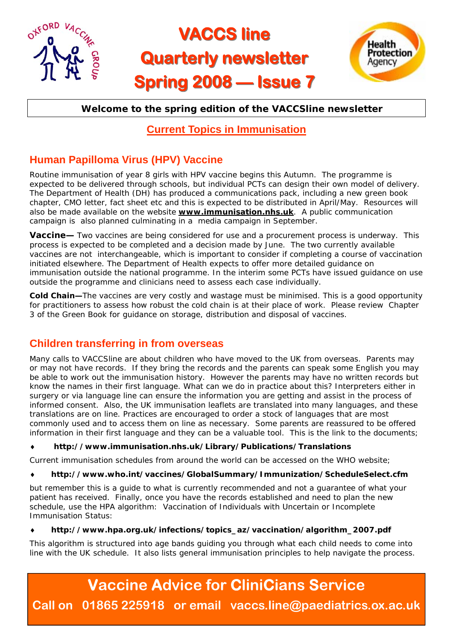

# **VACCS line Quarterly newsletter Quarterly newsletter Spring 2008 — Issue 7**



### **Welcome to the spring edition of the VACCSline newsletter**

### **Current Topics in Immunisation**

## **Human Papilloma Virus (HPV) Vaccine**

Routine immunisation of year 8 girls with HPV vaccine begins this Autumn. The programme is expected to be delivered through schools, but individual PCTs can design their own model of delivery. The Department of Health (DH) has produced a communications pack, including a new green book chapter, CMO letter, fact sheet etc and this is expected to be distributed in April/May. Resources will also be made available on the website **www.immunisation.nhs.uk**. A public communication campaign is also planned culminating in a media campaign in September.

**Vaccine—** Two vaccines are being considered for use and a procurement process is underway. This process is expected to be completed and a decision made by June. The two currently available vaccines are not interchangeable, which is important to consider if completing a course of vaccination initiated elsewhere. The Department of Health expects to offer more detailed guidance on immunisation outside the national programme. In the interim some PCTs have issued guidance on use outside the programme and clinicians need to assess each case individually.

**Cold Chain—**The vaccines are very costly and wastage must be minimised. This is a good opportunity for practitioners to assess how robust the cold chain is at their place of work. Please review Chapter 3 of the Green Book for guidance on storage, distribution and disposal of vaccines.

### **Children transferring in from overseas**

Many calls to VACCSline are about children who have moved to the UK from overseas. Parents may or may not have records. If they bring the records and the parents can speak some English you may be able to work out the immunisation history. However the parents may have no written records but know the names in their first language. What can we do in practice about this? Interpreters either in surgery or via language line can ensure the information you are getting and assist in the process of informed consent. Also, the UK immunisation leaflets are translated into many languages, and these translations are on line. Practices are encouraged to order a stock of languages that are most commonly used and to access them on line as necessary. Some parents are reassured to be offered information in their first language and they can be a valuable tool. This is the link to the documents;

♦ **http://www.immunisation.nhs.uk/Library/Publications/Translations**

Current immunisation schedules from around the world can be accessed on the WHO website;

#### ♦ **http://www.who.int/vaccines/GlobalSummary/Immunization/ScheduleSelect.cfm**

but remember this is a guide to what is currently recommended and not a guarantee of what your patient has received. Finally, once you have the records established and need to plan the new schedule, use the HPA algorithm: Vaccination of Individuals with Uncertain or Incomplete Immunisation Status:

#### ♦ **http://www.hpa.org.uk/infections/topics\_az/vaccination/algorithm\_2007.pdf**

This algorithm is structured into age bands guiding you through what each child needs to come into line with the UK schedule. It also lists general immunisation principles to help navigate the process.

# **Vaccine Advice for CliniCians Service**

**Call on 01865 225918 or email vaccs.line@paediatrics.ox.ac.uk**